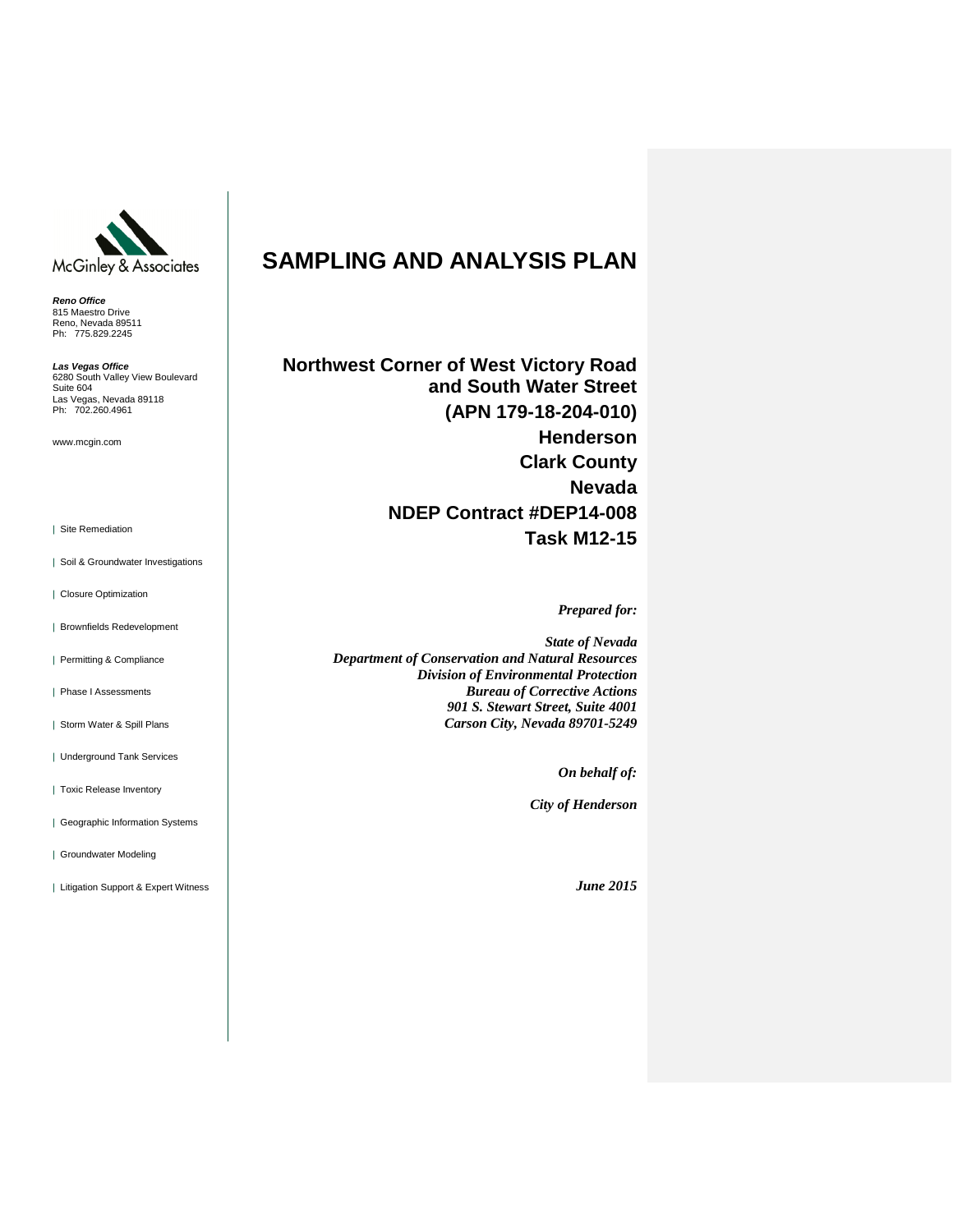

*Reno Office* 815 Maestro Drive Reno, Nevada 89511 Ph: 775.829.2245

*Las Vegas Office* 6280 South Valley View Boulevard Suite 604 Las Vegas, Nevada 89118 Ph: 702.260.4961

www.mcgin.com

| Site Remediation

- | Soil & Groundwater Investigations
- | Closure Optimization
- | Brownfields Redevelopment
- | Permitting & Compliance
- | Phase I Assessments
- | Storm Water & Spill Plans
- | Underground Tank Services
- | Toxic Release Inventory
- | Geographic Information Systems
- | Groundwater Modeling
- | Litigation Support & Expert Witness

# **SAMPLING AND ANALYSIS PLAN**

**Northwest Corner of West Victory Road and South Water Street (APN 179-18-204-010) Henderson Clark County Nevada NDEP Contract #DEP14-008 Task M12-15**

*Prepared for:*

*State of Nevada Department of Conservation and Natural Resources Division of Environmental Protection Bureau of Corrective Actions 901 S. Stewart Street, Suite 4001 Carson City, Nevada 89701-5249*

*On behalf of:*

*City of Henderson*

*June 2015*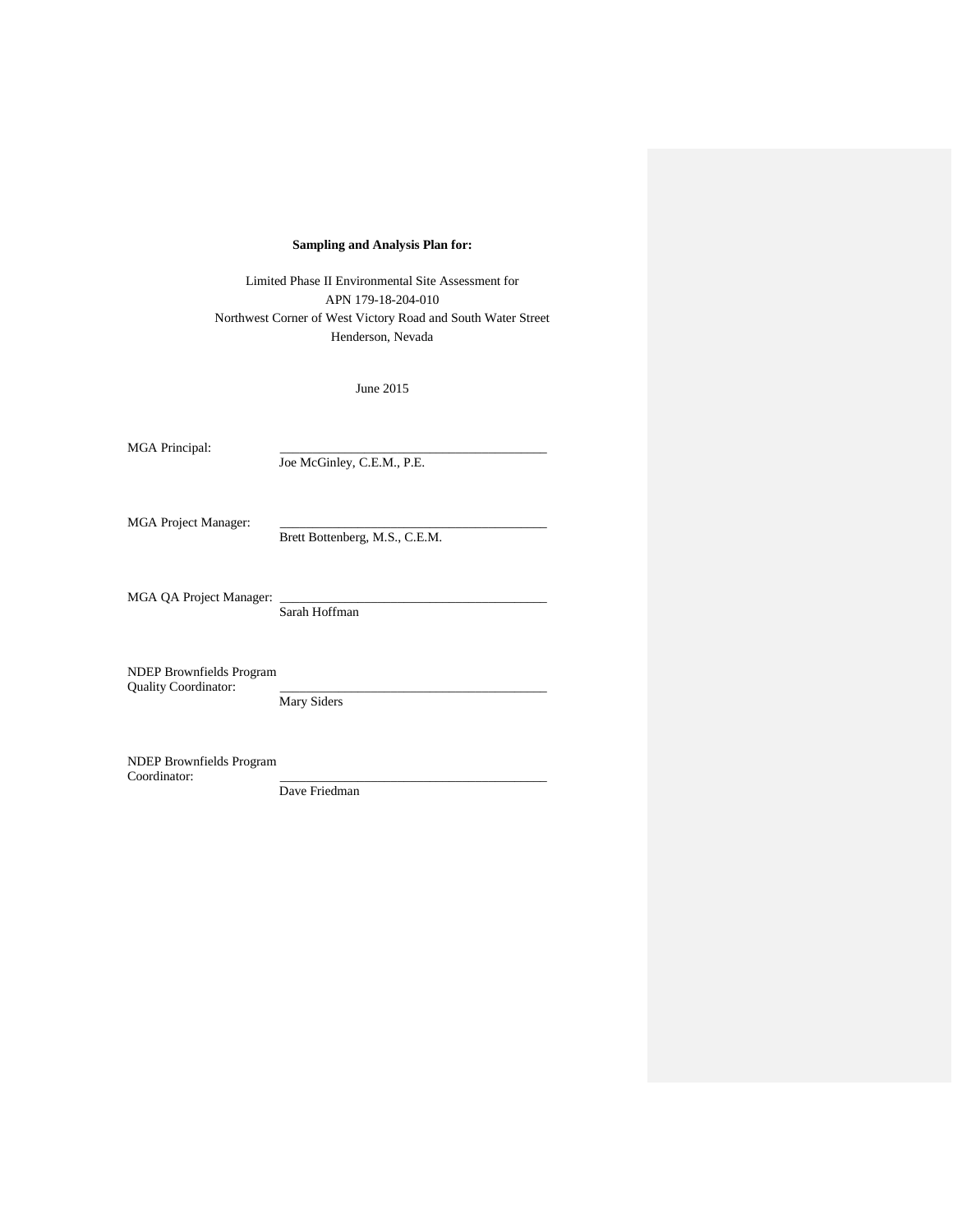### **Sampling and Analysis Plan for:**

Limited Phase II Environmental Site Assessment for APN 179-18-204-010 Northwest Corner of West Victory Road and South Water Street Henderson, Nevada

June 2015

MGA Principal:

Joe McGinley, C.E.M., P.E.

MGA Project Manager:

Brett Bottenberg, M.S., C.E.M.

MGA QA Project Manager:

Sarah Hoffman

NDEP Brownfields Program Quality Coordinator:

Mary Siders

NDEP Brownfields Program Coordinator:

Dave Friedman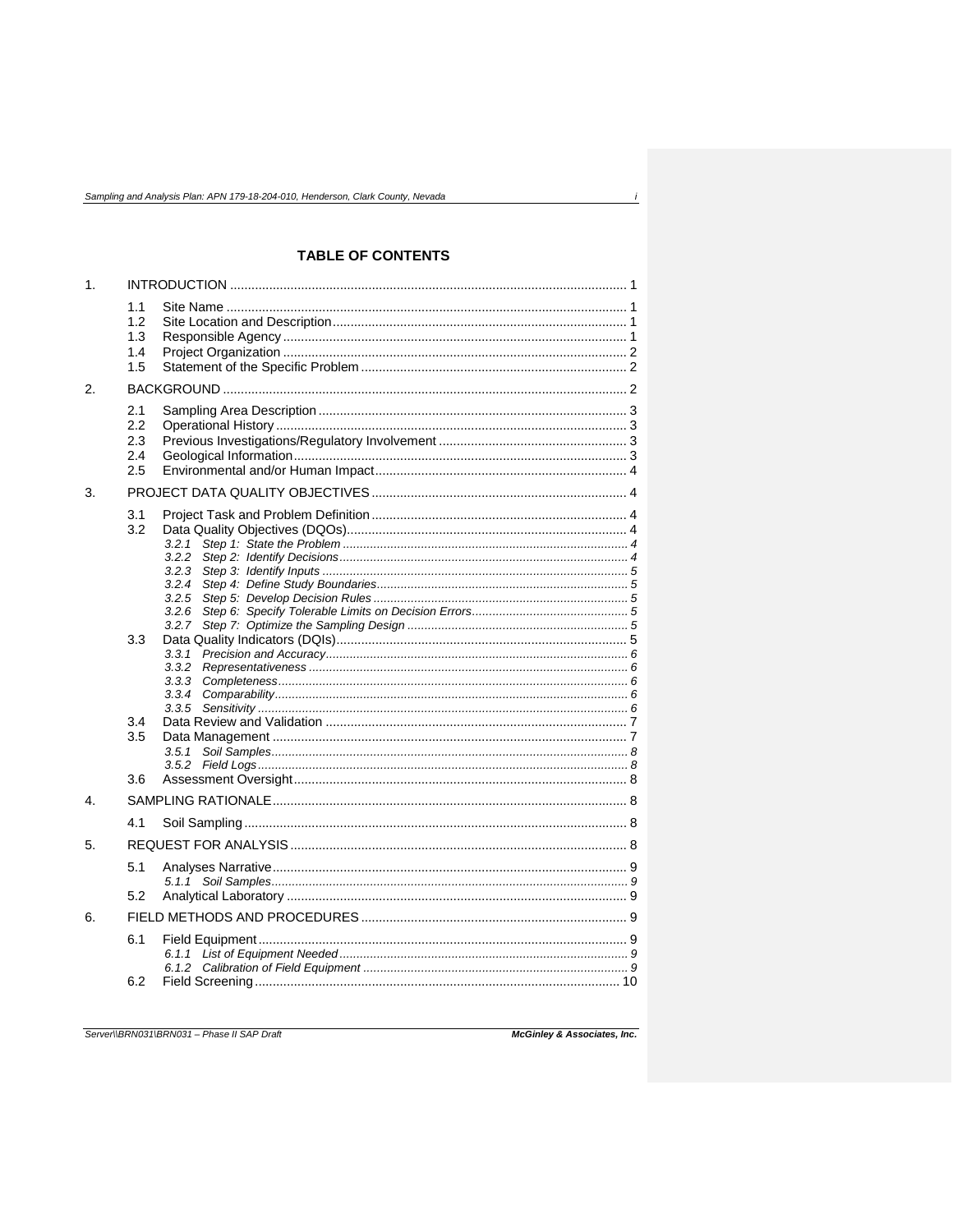# **TABLE OF CONTENTS**

| 1.               |                                 |                                                    |  |
|------------------|---------------------------------|----------------------------------------------------|--|
|                  | 1.1<br>1.2<br>1.3<br>1.4<br>1.5 |                                                    |  |
| 2.               |                                 |                                                    |  |
|                  | 2.1<br>2.2<br>2.3<br>2.4<br>2.5 |                                                    |  |
| 3.               |                                 |                                                    |  |
|                  | 3.1<br>3.2                      | 3.2.1<br>3.2.2<br>3.2.3<br>3.2.4<br>3.2.5          |  |
|                  | 3.3                             | 3.2.6<br>3.2.7<br>3.3.1<br>3.3.2<br>3.3.3<br>3.3.4 |  |
|                  | 3.4<br>3.5<br>3.6               | 3.5.1<br>3.5.2                                     |  |
| $\overline{4}$ . |                                 |                                                    |  |
|                  | 4.1                             |                                                    |  |
| 5.               |                                 |                                                    |  |
|                  | 5.1<br>5.2                      |                                                    |  |
| 6.               |                                 |                                                    |  |
|                  | 6.1<br>6.2                      | 6.1.1                                              |  |

Server\\BRN031\BRN031 - Phase II SAP Draft

McGinley & Associates, Inc.

 $\boldsymbol{i}$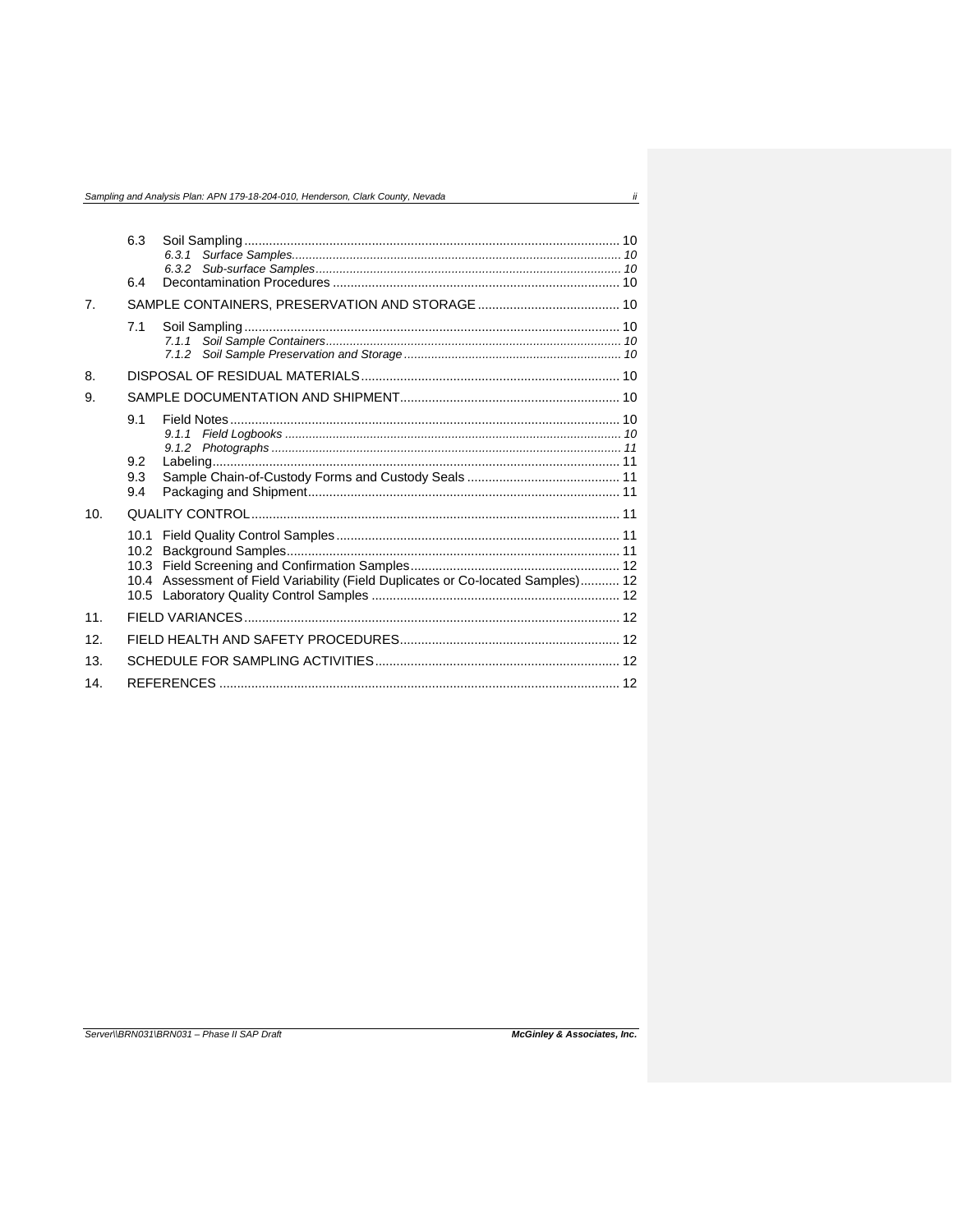|                 |                          | Sampling and Analysis Plan: APN 179-18-204-010, Henderson, Clark County, Nevada  | ii |
|-----------------|--------------------------|----------------------------------------------------------------------------------|----|
|                 | 6.3<br>6.4               |                                                                                  |    |
| 7 <sub>1</sub>  |                          |                                                                                  |    |
|                 | 7.1                      |                                                                                  |    |
| 8.              |                          |                                                                                  |    |
| 9.              |                          |                                                                                  |    |
|                 | 9.1<br>9.2<br>9.3<br>9.4 |                                                                                  |    |
| 10 <sub>1</sub> |                          |                                                                                  |    |
|                 | 10.1<br>10.2             | 10.4 Assessment of Field Variability (Field Duplicates or Co-located Samples) 12 |    |
| 11.             |                          |                                                                                  |    |
| 12.             |                          |                                                                                  |    |
| 13.             |                          |                                                                                  |    |
| 14.             |                          |                                                                                  |    |

#### Server\\BRN031\BRN031 - Phase II SAP Draft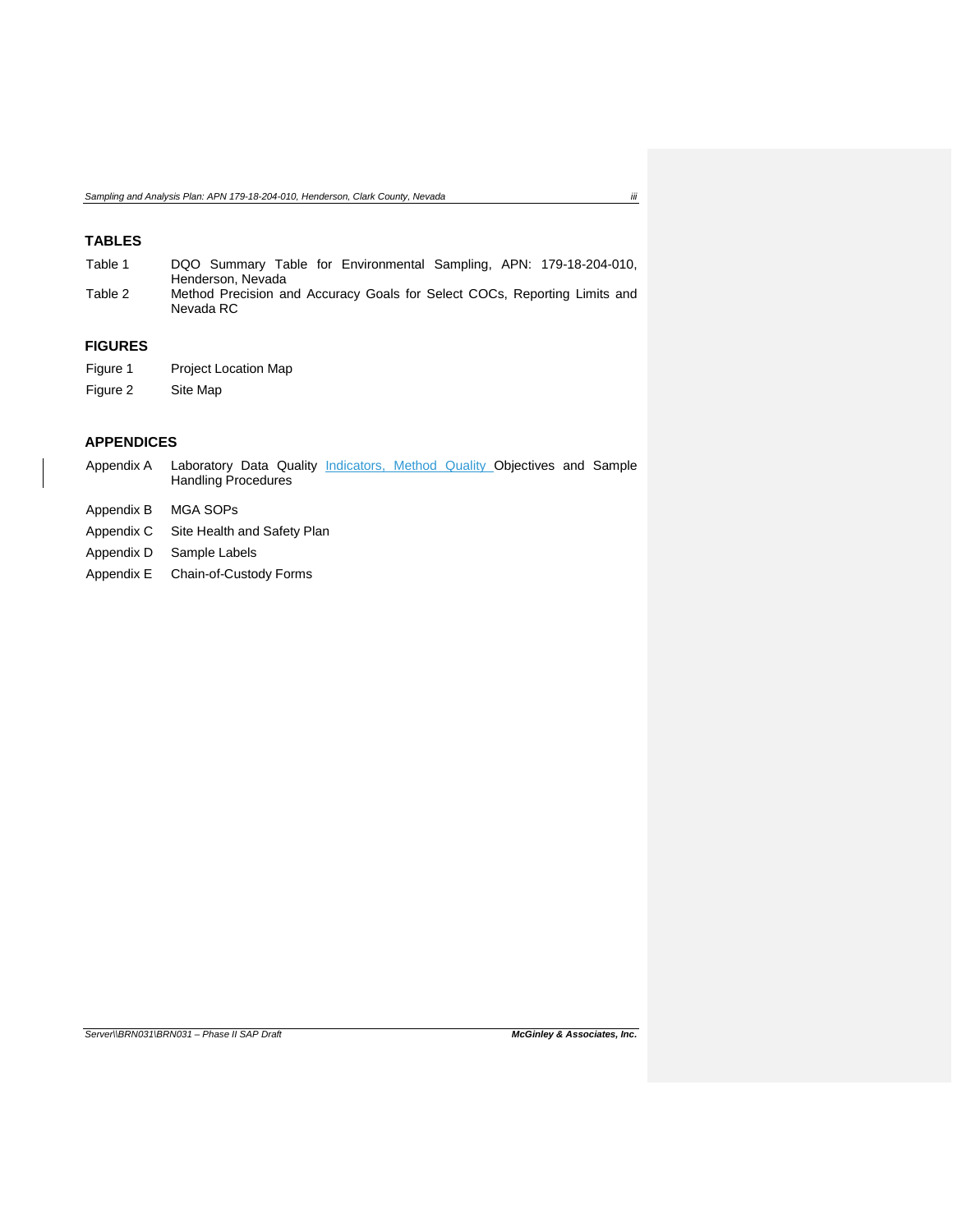# **TABLES**

| Table 1 | DQO Summary Table for Environmental Sampling, APN: 179-18-204-010,                     |
|---------|----------------------------------------------------------------------------------------|
|         | Henderson. Nevada                                                                      |
| Table 2 | Method Precision and Accuracy Goals for Select COCs, Reporting Limits and<br>Nevada RC |

# **FIGURES**

- Figure 1 Project Location Map
- Figure 2 Site Map

# **APPENDICES**

- Appendix A Laboratory Data Quality *Indicators, Method Quality Objectives and Sample* Handling Procedures
- Appendix B MGA SOPs
- Appendix C Site Health and Safety Plan
- Appendix D Sample Labels
- Appendix E Chain-of-Custody Forms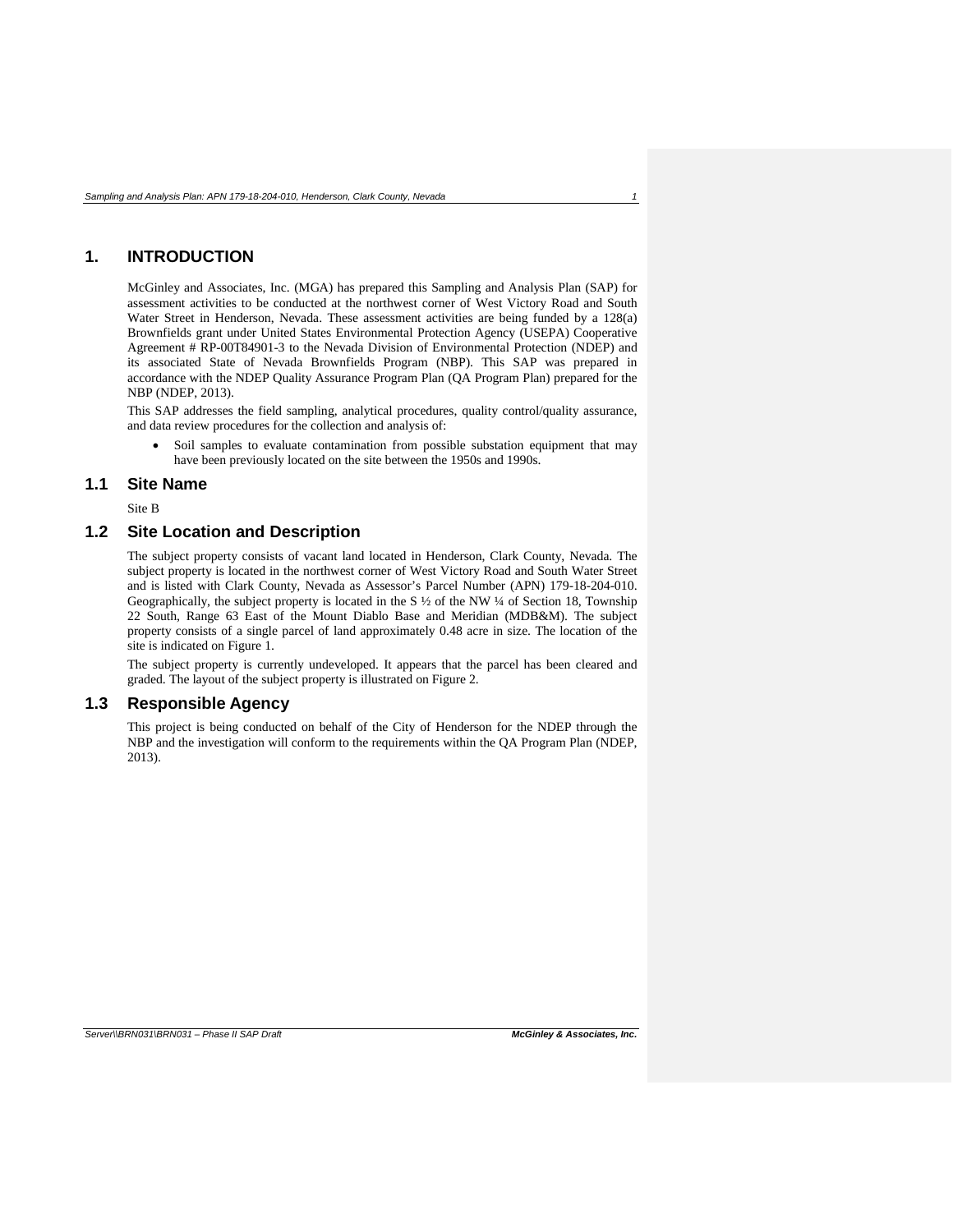# <span id="page-5-0"></span>**1. INTRODUCTION**

McGinley and Associates, Inc. (MGA) has prepared this Sampling and Analysis Plan (SAP) for assessment activities to be conducted at the northwest corner of West Victory Road and South Water Street in Henderson, Nevada. These assessment activities are being funded by a 128(a) Brownfields grant under United States Environmental Protection Agency (USEPA) Cooperative Agreement # RP-00T84901-3 to the Nevada Division of Environmental Protection (NDEP) and its associated State of Nevada Brownfields Program (NBP). This SAP was prepared in accordance with the NDEP Quality Assurance Program Plan (QA Program Plan) prepared for the NBP (NDEP, 2013).

This SAP addresses the field sampling, analytical procedures, quality control/quality assurance, and data review procedures for the collection and analysis of:

• Soil samples to evaluate contamination from possible substation equipment that may have been previously located on the site between the 1950s and 1990s.

### <span id="page-5-1"></span>**1.1 Site Name**

Site B

### <span id="page-5-2"></span>**1.2 Site Location and Description**

The subject property consists of vacant land located in Henderson, Clark County, Nevada. The subject property is located in the northwest corner of West Victory Road and South Water Street and is listed with Clark County, Nevada as Assessor's Parcel Number (APN) 179-18-204-010. Geographically, the subject property is located in the S ½ of the NW ¼ of Section 18, Township 22 South, Range 63 East of the Mount Diablo Base and Meridian (MDB&M). The subject property consists of a single parcel of land approximately 0.48 acre in size. The location of the site is indicated on Figure 1.

The subject property is currently undeveloped. It appears that the parcel has been cleared and graded. The layout of the subject property is illustrated on Figure 2.

### <span id="page-5-3"></span>**1.3 Responsible Agency**

This project is being conducted on behalf of the City of Henderson for the NDEP through the NBP and the investigation will conform to the requirements within the QA Program Plan (NDEP, 2013).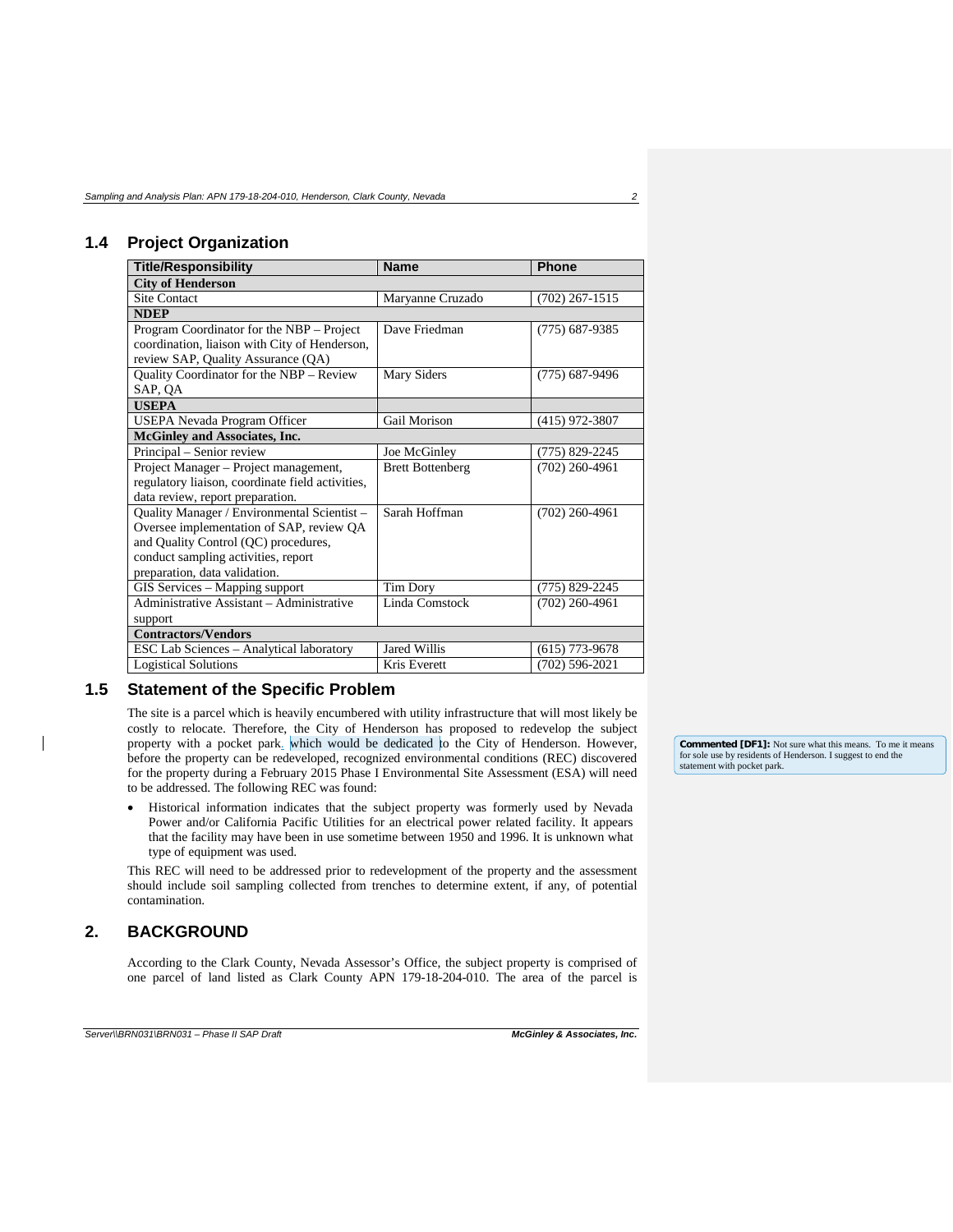# <span id="page-6-0"></span>**1.4 Project Organization**

| <b>Title/Responsibility</b>                      | <b>Name</b>             | <b>Phone</b>     |  |
|--------------------------------------------------|-------------------------|------------------|--|
| <b>City of Henderson</b>                         |                         |                  |  |
| <b>Site Contact</b>                              | Maryanne Cruzado        | $(702)$ 267-1515 |  |
| <b>NDEP</b>                                      |                         |                  |  |
| Program Coordinator for the NBP – Project        | Dave Friedman           | (775) 687-9385   |  |
| coordination, liaison with City of Henderson,    |                         |                  |  |
| review SAP, Quality Assurance (QA)               |                         |                  |  |
| Quality Coordinator for the NBP - Review         | Mary Siders             | $(775)$ 687-9496 |  |
| SAP, QA                                          |                         |                  |  |
| <b>USEPA</b>                                     |                         |                  |  |
| USEPA Nevada Program Officer                     | Gail Morison            | $(415)$ 972-3807 |  |
| <b>McGinley and Associates, Inc.</b>             |                         |                  |  |
| Principal - Senior review                        | Joe McGinley            | (775) 829-2245   |  |
| Project Manager - Project management,            | <b>Brett Bottenberg</b> | $(702)$ 260-4961 |  |
| regulatory liaison, coordinate field activities, |                         |                  |  |
| data review, report preparation.                 |                         |                  |  |
| Quality Manager / Environmental Scientist -      | Sarah Hoffman           | $(702)$ 260-4961 |  |
| Oversee implementation of SAP, review QA         |                         |                  |  |
| and Quality Control (QC) procedures,             |                         |                  |  |
| conduct sampling activities, report              |                         |                  |  |
| preparation, data validation.                    |                         |                  |  |
| GIS Services - Mapping support                   | Tim Dory                | (775) 829-2245   |  |
| Administrative Assistant - Administrative        | Linda Comstock          | $(702)$ 260-4961 |  |
| support                                          |                         |                  |  |
| <b>Contractors/Vendors</b>                       |                         |                  |  |
| ESC Lab Sciences - Analytical laboratory         | Jared Willis            | (615) 773-9678   |  |
| <b>Logistical Solutions</b>                      | Kris Everett            | (702) 596-2021   |  |

### <span id="page-6-1"></span>**1.5 Statement of the Specific Problem**

The site is a parcel which is heavily encumbered with utility infrastructure that will most likely be costly to relocate. Therefore, the City of Henderson has proposed to redevelop the subject property with a pocket park. which would be dedicated to the City of Henderson. However, before the property can be redeveloped, recognized environmental conditions (REC) discovered for the property during a February 2015 Phase I Environmental Site Assessment (ESA) will need to be addressed. The following REC was found:

• Historical information indicates that the subject property was formerly used by Nevada Power and/or California Pacific Utilities for an electrical power related facility. It appears that the facility may have been in use sometime between 1950 and 1996. It is unknown what type of equipment was used.

This REC will need to be addressed prior to redevelopment of the property and the assessment should include soil sampling collected from trenches to determine extent, if any, of potential contamination.

### <span id="page-6-2"></span>**2. BACKGROUND**

According to the Clark County, Nevada Assessor's Office, the subject property is comprised of one parcel of land listed as Clark County APN 179-18-204-010. The area of the parcel is

**Commented [DF1]:** Not sure what this means. To me it means for sole use by residents of Henderson. I suggest to end the statement with pocket park.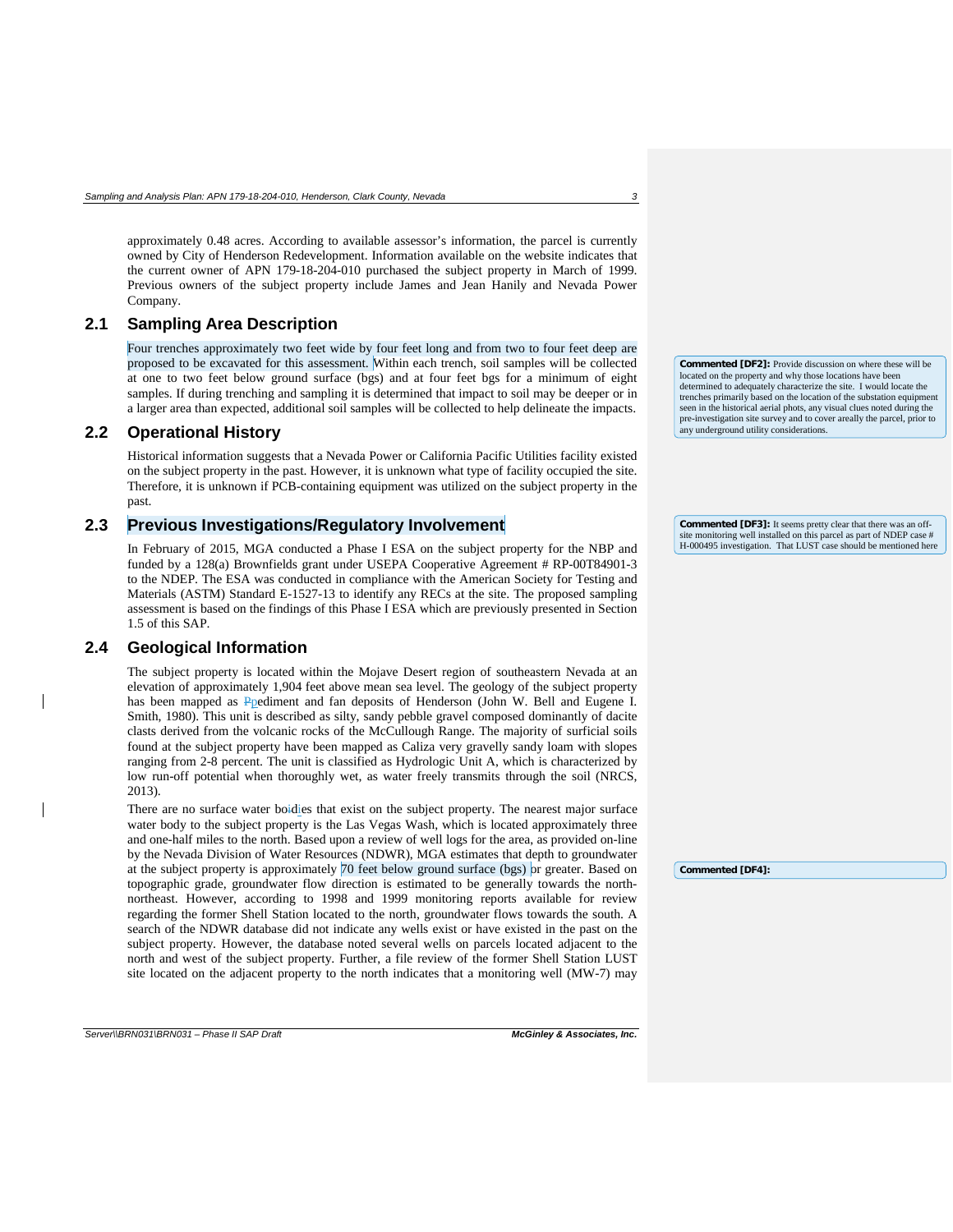approximately 0.48 acres. According to available assessor's information, the parcel is currently owned by City of Henderson Redevelopment. Information available on the website indicates that the current owner of APN 179-18-204-010 purchased the subject property in March of 1999. Previous owners of the subject property include James and Jean Hanily and Nevada Power Company.

### <span id="page-7-0"></span>**2.1 Sampling Area Description**

Four trenches approximately two feet wide by four feet long and from two to four feet deep are proposed to be excavated for this assessment. Within each trench, soil samples will be collected at one to two feet below ground surface (bgs) and at four feet bgs for a minimum of eight samples. If during trenching and sampling it is determined that impact to soil may be deeper or in a larger area than expected, additional soil samples will be collected to help delineate the impacts.

### <span id="page-7-1"></span>**2.2 Operational History**

Historical information suggests that a Nevada Power or California Pacific Utilities facility existed on the subject property in the past. However, it is unknown what type of facility occupied the site. Therefore, it is unknown if PCB-containing equipment was utilized on the subject property in the past.

### <span id="page-7-2"></span>**2.3 Previous Investigations/Regulatory Involvement**

In February of 2015, MGA conducted a Phase I ESA on the subject property for the NBP and funded by a 128(a) Brownfields grant under USEPA Cooperative Agreement # RP-00T84901-3 to the NDEP. The ESA was conducted in compliance with the American Society for Testing and Materials (ASTM) Standard E-1527-13 to identify any RECs at the site. The proposed sampling assessment is based on the findings of this Phase I ESA which are previously presented in Section 1.5 of this SAP.

#### <span id="page-7-3"></span>**2.4 Geological Information**

The subject property is located within the Mojave Desert region of southeastern Nevada at an elevation of approximately 1,904 feet above mean sea level. The geology of the subject property has been mapped as Ppediment and fan deposits of Henderson (John W. Bell and Eugene I. Smith, 1980). This unit is described as silty, sandy pebble gravel composed dominantly of dacite clasts derived from the volcanic rocks of the McCullough Range. The majority of surficial soils found at the subject property have been mapped as Caliza very gravelly sandy loam with slopes ranging from 2-8 percent. The unit is classified as Hydrologic Unit A, which is characterized by low run-off potential when thoroughly wet, as water freely transmits through the soil (NRCS, 2013).

There are no surface water boidies that exist on the subject property. The nearest major surface water body to the subject property is the Las Vegas Wash, which is located approximately three and one-half miles to the north. Based upon a review of well logs for the area, as provided on-line by the Nevada Division of Water Resources (NDWR), MGA estimates that depth to groundwater at the subject property is approximately 70 feet below ground surface (bgs) or greater. Based on topographic grade, groundwater flow direction is estimated to be generally towards the northnortheast. However, according to 1998 and 1999 monitoring reports available for review regarding the former Shell Station located to the north, groundwater flows towards the south. A search of the NDWR database did not indicate any wells exist or have existed in the past on the subject property. However, the database noted several wells on parcels located adjacent to the north and west of the subject property. Further, a file review of the former Shell Station LUST site located on the adjacent property to the north indicates that a monitoring well (MW-7) may

*Server\\BRN031\BRN031 – Phase II SAP Draft McGinley & Associates, Inc.*

**Commented [DF2]:** Provide discussion on where these will be located on the property and why those locations have been determined to adequately characterize the site. I would locate the trenches primarily based on the location of the substation equipment seen in the historical aerial phots, any visual clues noted during the pre-investigation site survey and to cover areally the parcel, prior to any underground utility considerations.

**Commented [DF3]:** It seems pretty clear that there was an offsite monitoring well installed on this parcel as part of NDEP case # H-000495 investigation. That LUST case should be mentioned here

**Commented [DF4]:**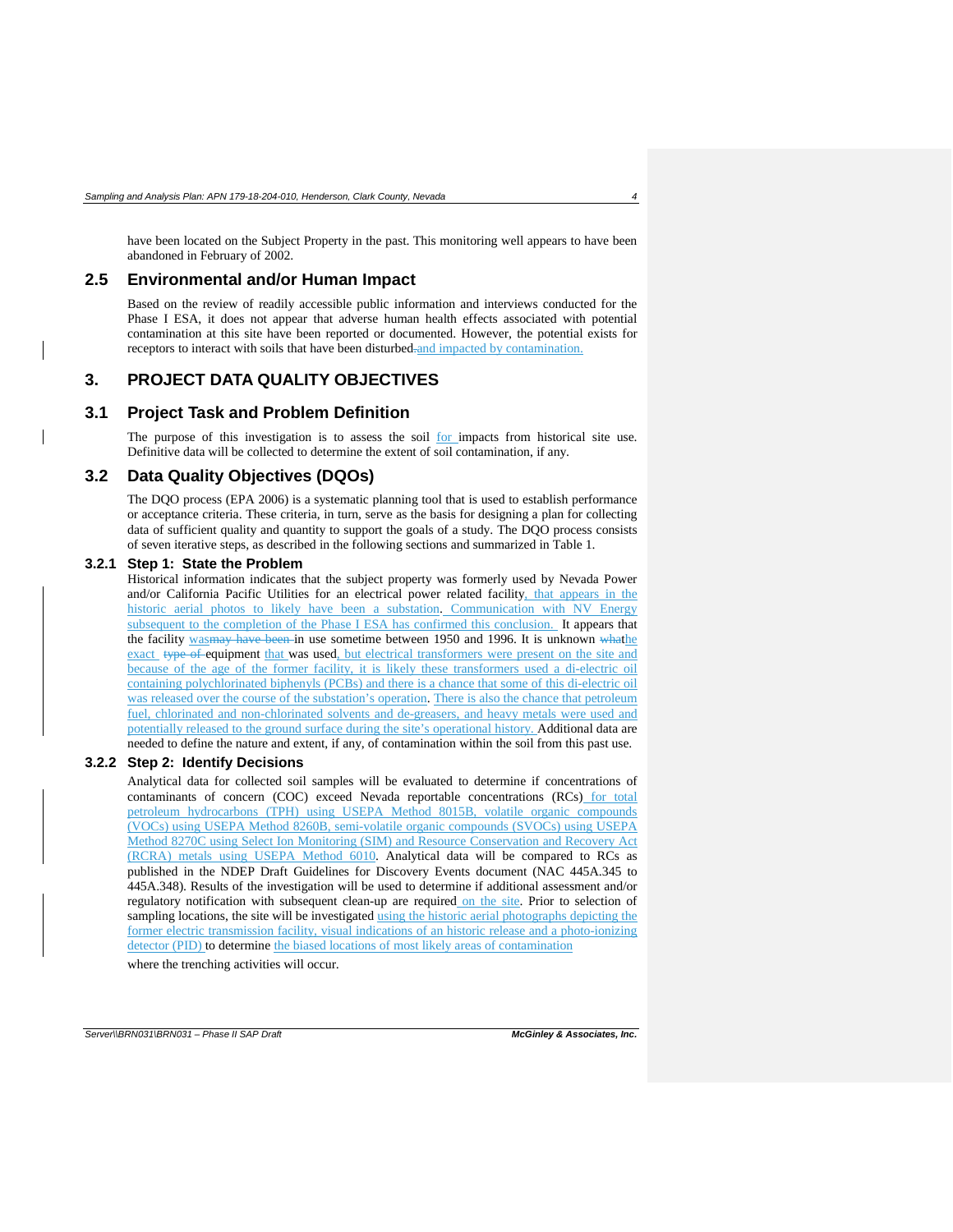have been located on the Subject Property in the past. This monitoring well appears to have been abandoned in February of 2002.

### <span id="page-8-0"></span>**2.5 Environmental and/or Human Impact**

Based on the review of readily accessible public information and interviews conducted for the Phase I ESA, it does not appear that adverse human health effects associated with potential contamination at this site have been reported or documented. However, the potential exists for receptors to interact with soils that have been disturbed-and impacted by contamination.

### <span id="page-8-1"></span>**3. PROJECT DATA QUALITY OBJECTIVES**

#### <span id="page-8-2"></span>**3.1 Project Task and Problem Definition**

The purpose of this investigation is to assess the soil for impacts from historical site use. Definitive data will be collected to determine the extent of soil contamination, if any.

#### <span id="page-8-3"></span>**3.2 Data Quality Objectives (DQOs)**

The DQO process (EPA 2006) is a systematic planning tool that is used to establish performance or acceptance criteria. These criteria, in turn, serve as the basis for designing a plan for collecting data of sufficient quality and quantity to support the goals of a study. The DQO process consists of seven iterative steps, as described in the following sections and summarized in Table 1.

#### <span id="page-8-4"></span>**3.2.1 Step 1: State the Problem**

Historical information indicates that the subject property was formerly used by Nevada Power and/or California Pacific Utilities for an electrical power related facility, that appears in the historic aerial photos to likely have been a substation. Communication with NV Energy subsequent to the completion of the Phase I ESA has confirmed this conclusion. It appears that the facility was may have been in use sometime between 1950 and 1996. It is unknown whather exact type of equipment that was used, but electrical transformers were present on the site and because of the age of the former facility, it is likely these transformers used a di-electric oil containing polychlorinated biphenyls (PCBs) and there is a chance that some of this di-electric oil was released over the course of the substation's operation. There is also the chance that petroleum fuel, chlorinated and non-chlorinated solvents and de-greasers, and heavy metals were used and potentially released to the ground surface during the site's operational history. Additional data are needed to define the nature and extent, if any, of contamination within the soil from this past use.

#### <span id="page-8-5"></span>**3.2.2 Step 2: Identify Decisions**

Analytical data for collected soil samples will be evaluated to determine if concentrations of contaminants of concern (COC) exceed Nevada reportable concentrations (RCs) for total petroleum hydrocarbons (TPH) using USEPA Method 8015B, volatile organic compounds (VOCs) using USEPA Method 8260B, semi-volatile organic compounds (SVOCs) using USEPA Method 8270C using Select Ion Monitoring (SIM) and Resource Conservation and Recovery Act (RCRA) metals using USEPA Method 6010. Analytical data will be compared to RCs as published in the NDEP Draft Guidelines for Discovery Events document (NAC 445A.345 to 445A.348). Results of the investigation will be used to determine if additional assessment and/or regulatory notification with subsequent clean-up are required on the site. Prior to selection of sampling locations, the site will be investigated using the historic aerial photographs depicting the former electric transmission facility, visual indications of an historic release and a photo-ionizing detector (PID) to determine the biased locations of most likely areas of contamination

where the trenching activities will occur.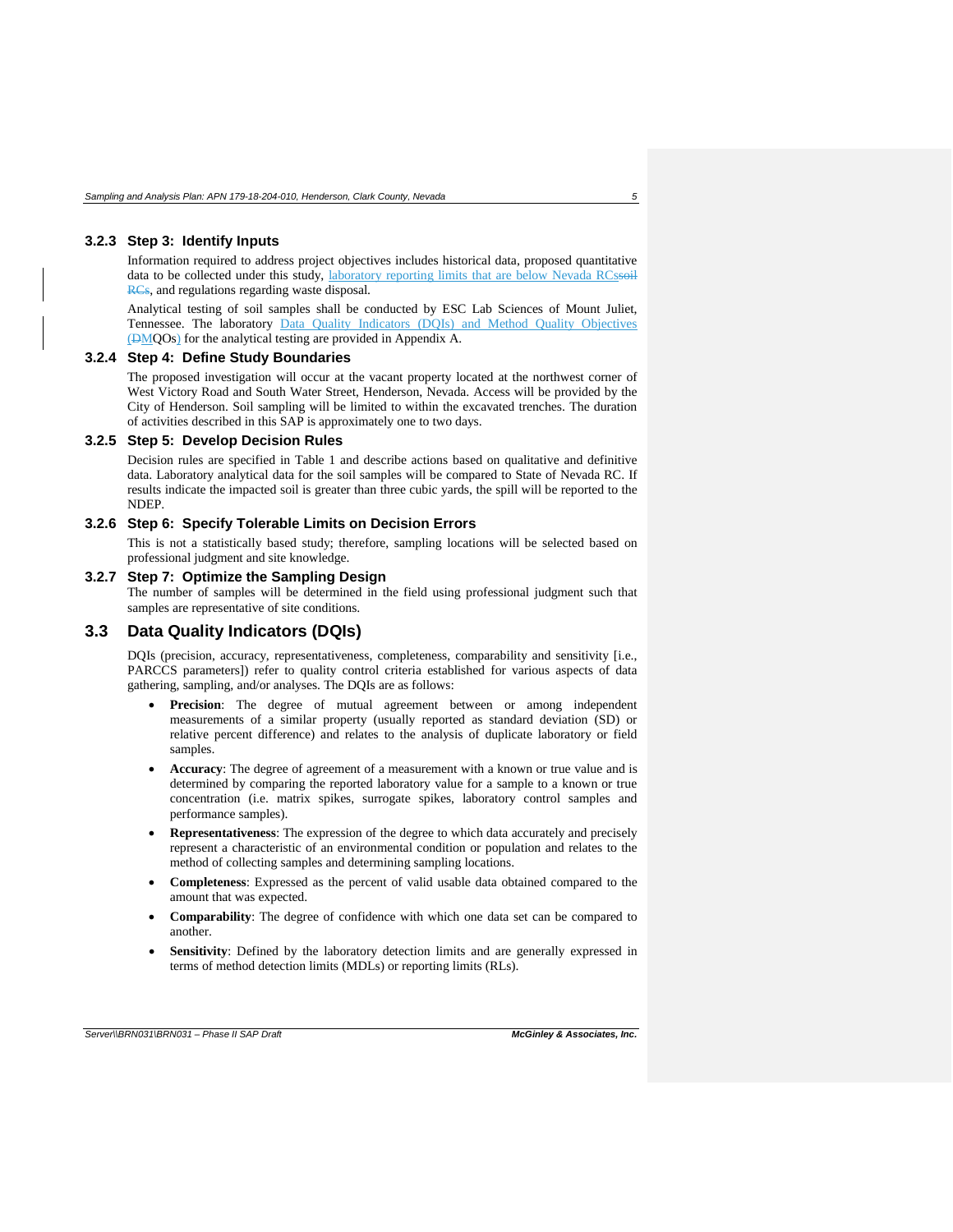#### <span id="page-9-0"></span>**3.2.3 Step 3: Identify Inputs**

Information required to address project objectives includes historical data, proposed quantitative data to be collected under this study, laboratory reporting limits that are below Nevada RCssoil RCs, and regulations regarding waste disposal.

Analytical testing of soil samples shall be conducted by ESC Lab Sciences of Mount Juliet, Tennessee. The laboratory Data Quality Indicators (DQIs) and Method Quality Objectives (DMQOs) for the analytical testing are provided in Appendix A.

#### <span id="page-9-1"></span>**3.2.4 Step 4: Define Study Boundaries**

The proposed investigation will occur at the vacant property located at the northwest corner of West Victory Road and South Water Street, Henderson, Nevada. Access will be provided by the City of Henderson. Soil sampling will be limited to within the excavated trenches. The duration of activities described in this SAP is approximately one to two days.

#### <span id="page-9-2"></span>**3.2.5 Step 5: Develop Decision Rules**

Decision rules are specified in Table 1 and describe actions based on qualitative and definitive data. Laboratory analytical data for the soil samples will be compared to State of Nevada RC. If results indicate the impacted soil is greater than three cubic yards, the spill will be reported to the NDEP.

#### <span id="page-9-3"></span>**3.2.6 Step 6: Specify Tolerable Limits on Decision Errors**

This is not a statistically based study; therefore, sampling locations will be selected based on professional judgment and site knowledge.

#### <span id="page-9-4"></span>**3.2.7 Step 7: Optimize the Sampling Design**

The number of samples will be determined in the field using professional judgment such that samples are representative of site conditions.

### <span id="page-9-5"></span>**3.3 Data Quality Indicators (DQIs)**

DQIs (precision, accuracy, representativeness, completeness, comparability and sensitivity [i.e., PARCCS parameters]) refer to quality control criteria established for various aspects of data gathering, sampling, and/or analyses. The DQIs are as follows:

- **Precision**: The degree of mutual agreement between or among independent measurements of a similar property (usually reported as standard deviation (SD) or relative percent difference) and relates to the analysis of duplicate laboratory or field samples.
- **Accuracy**: The degree of agreement of a measurement with a known or true value and is determined by comparing the reported laboratory value for a sample to a known or true concentration (i.e. matrix spikes, surrogate spikes, laboratory control samples and performance samples).
- **Representativeness**: The expression of the degree to which data accurately and precisely represent a characteristic of an environmental condition or population and relates to the method of collecting samples and determining sampling locations.
- **Completeness**: Expressed as the percent of valid usable data obtained compared to the amount that was expected.
- **Comparability**: The degree of confidence with which one data set can be compared to another.
- Sensitivity: Defined by the laboratory detection limits and are generally expressed in terms of method detection limits (MDLs) or reporting limits (RLs).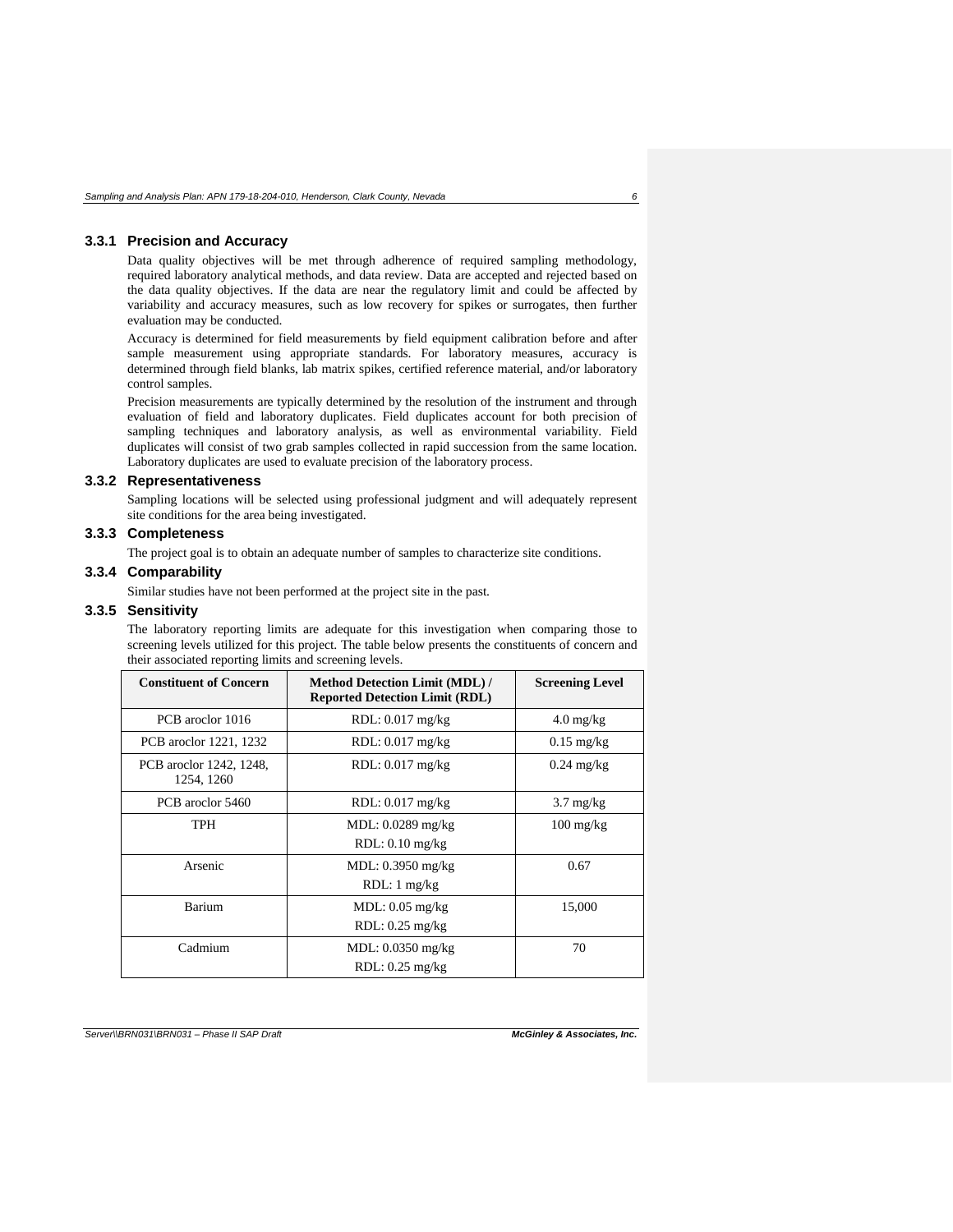#### <span id="page-10-0"></span>**3.3.1 Precision and Accuracy**

Data quality objectives will be met through adherence of required sampling methodology, required laboratory analytical methods, and data review. Data are accepted and rejected based on the data quality objectives. If the data are near the regulatory limit and could be affected by variability and accuracy measures, such as low recovery for spikes or surrogates, then further evaluation may be conducted.

Accuracy is determined for field measurements by field equipment calibration before and after sample measurement using appropriate standards. For laboratory measures, accuracy is determined through field blanks, lab matrix spikes, certified reference material, and/or laboratory control samples.

Precision measurements are typically determined by the resolution of the instrument and through evaluation of field and laboratory duplicates. Field duplicates account for both precision of sampling techniques and laboratory analysis, as well as environmental variability. Field duplicates will consist of two grab samples collected in rapid succession from the same location. Laboratory duplicates are used to evaluate precision of the laboratory process.

#### <span id="page-10-1"></span>**3.3.2 Representativeness**

Sampling locations will be selected using professional judgment and will adequately represent site conditions for the area being investigated.

### <span id="page-10-2"></span>**3.3.3 Completeness**

The project goal is to obtain an adequate number of samples to characterize site conditions.

### <span id="page-10-3"></span>**3.3.4 Comparability**

Similar studies have not been performed at the project site in the past.

#### <span id="page-10-4"></span>**3.3.5 Sensitivity**

The laboratory reporting limits are adequate for this investigation when comparing those to screening levels utilized for this project. The table below presents the constituents of concern and their associated reporting limits and screening levels.

| <b>Constituent of Concern</b>         | <b>Method Detection Limit (MDL)/</b><br><b>Reported Detection Limit (RDL)</b> | <b>Screening Level</b> |
|---------------------------------------|-------------------------------------------------------------------------------|------------------------|
| PCB aroclor 1016                      | RDL: 0.017 mg/kg                                                              | $4.0 \text{ mg/kg}$    |
| PCB aroclor 1221, 1232                | $RDL: 0.017$ mg/kg                                                            | $0.15 \text{ mg/kg}$   |
| PCB aroclor 1242, 1248,<br>1254, 1260 | $RDL: 0.017$ mg/kg                                                            | $0.24 \text{ mg/kg}$   |
| PCB aroclor 5460                      | $RDL: 0.017$ mg/kg                                                            | $3.7 \text{ mg/kg}$    |
| <b>TPH</b>                            | MDL: $0.0289$ mg/kg<br>$RDL: 0.10$ mg/kg                                      | $100 \text{ mg/kg}$    |
| Arsenic                               | MDL: 0.3950 mg/kg<br>$RDL:1$ mg/kg                                            | 0.67                   |
| Barium                                | $MDL: 0.05$ mg/kg<br>$RDL: 0.25$ mg/kg                                        | 15,000                 |
| Cadmium                               | MDL: $0.0350$ mg/kg<br>$RDL: 0.25$ mg/kg                                      | 70                     |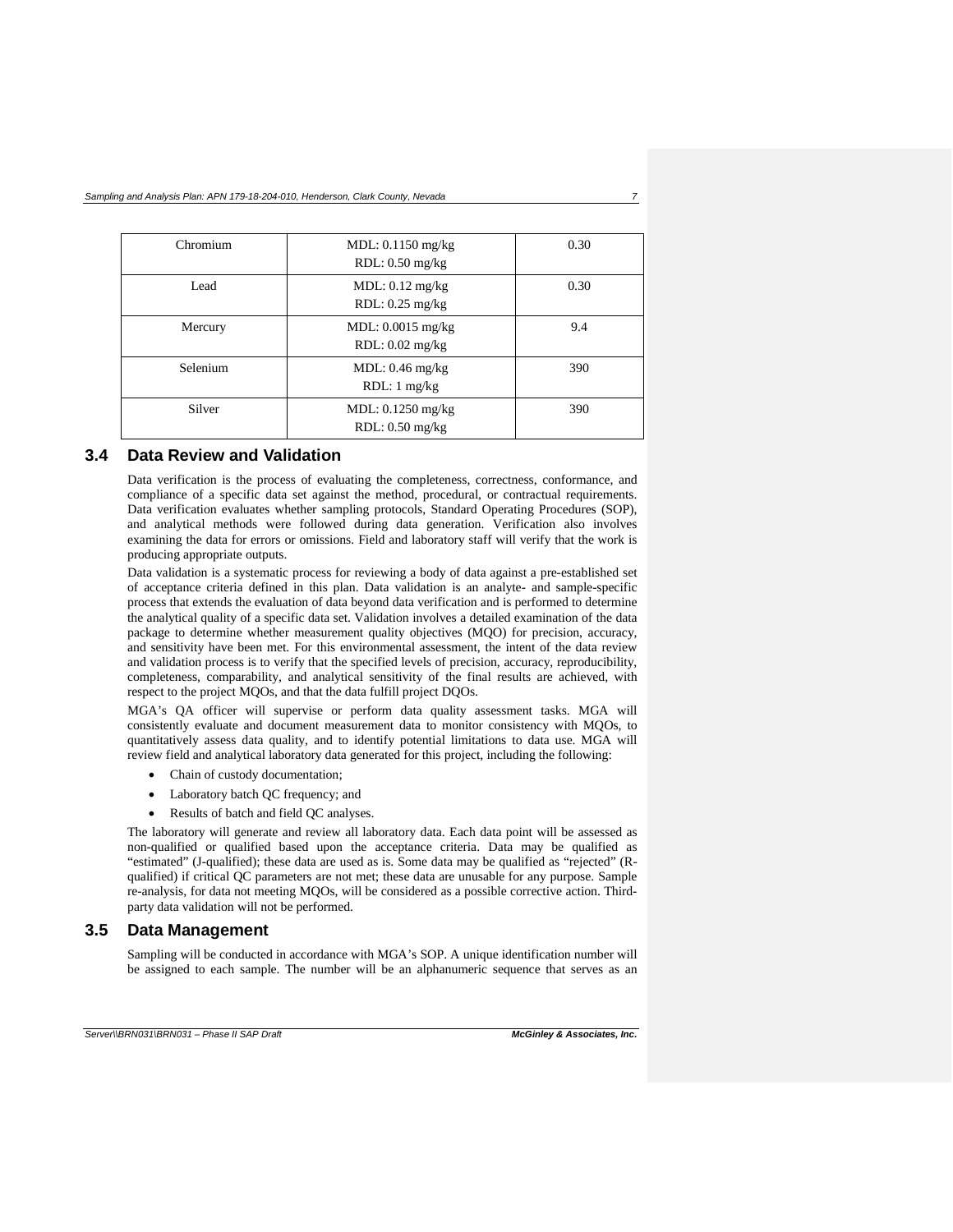| Chromium | MDL: $0.1150$ mg/kg<br>$RDL: 0.50$ mg/kg | 0.30 |
|----------|------------------------------------------|------|
| Lead     | MDL: 0.12 mg/kg<br>$RDL: 0.25$ mg/kg     | 0.30 |
| Mercury  | MDL: $0.0015$ mg/kg<br>$RDL: 0.02$ mg/kg | 9.4  |
| Selenium | MDL: 0.46 mg/kg<br>RDL: 1 mg/kg          | 390  |
| Silver   | MDL: $0.1250$ mg/kg<br>$RDL: 0.50$ mg/kg | 390  |

#### <span id="page-11-0"></span>**3.4 Data Review and Validation**

Data verification is the process of evaluating the completeness, correctness, conformance, and compliance of a specific data set against the method, procedural, or contractual requirements. Data verification evaluates whether sampling protocols, Standard Operating Procedures (SOP), and analytical methods were followed during data generation. Verification also involves examining the data for errors or omissions. Field and laboratory staff will verify that the work is producing appropriate outputs.

Data validation is a systematic process for reviewing a body of data against a pre-established set of acceptance criteria defined in this plan. Data validation is an analyte- and sample-specific process that extends the evaluation of data beyond data verification and is performed to determine the analytical quality of a specific data set. Validation involves a detailed examination of the data package to determine whether measurement quality objectives (MQO) for precision, accuracy, and sensitivity have been met. For this environmental assessment, the intent of the data review and validation process is to verify that the specified levels of precision, accuracy, reproducibility, completeness, comparability, and analytical sensitivity of the final results are achieved, with respect to the project MQOs, and that the data fulfill project DQOs.

MGA's QA officer will supervise or perform data quality assessment tasks. MGA will consistently evaluate and document measurement data to monitor consistency with MQOs, to quantitatively assess data quality, and to identify potential limitations to data use. MGA will review field and analytical laboratory data generated for this project, including the following:

- Chain of custody documentation;
- Laboratory batch QC frequency; and
- Results of batch and field QC analyses.

The laboratory will generate and review all laboratory data. Each data point will be assessed as non-qualified or qualified based upon the acceptance criteria. Data may be qualified as "estimated" (J-qualified); these data are used as is. Some data may be qualified as "rejected" (Rqualified) if critical QC parameters are not met; these data are unusable for any purpose. Sample re-analysis, for data not meeting MQOs, will be considered as a possible corrective action. Thirdparty data validation will not be performed.

### <span id="page-11-1"></span>**3.5 Data Management**

Sampling will be conducted in accordance with MGA's SOP. A unique identification number will be assigned to each sample. The number will be an alphanumeric sequence that serves as an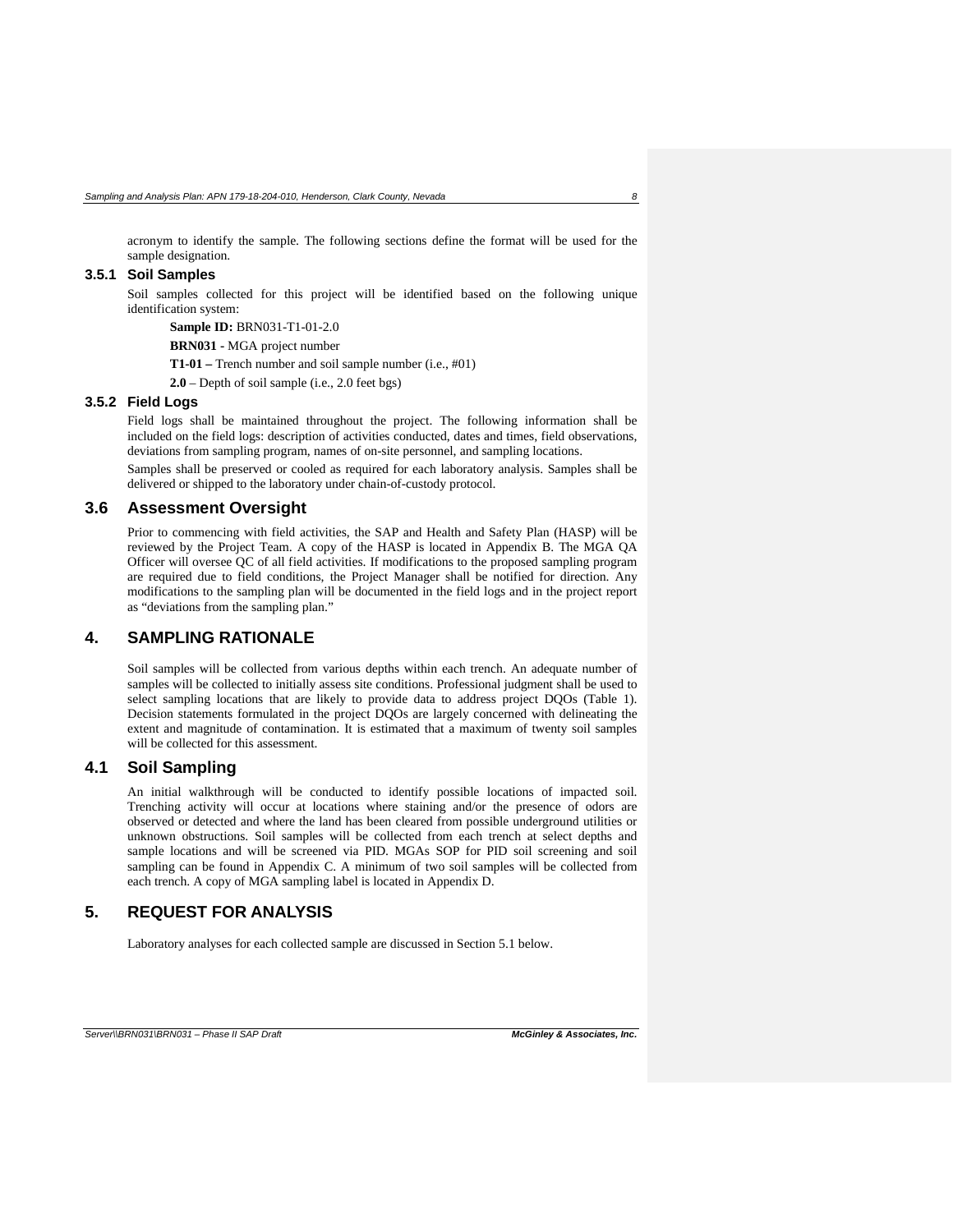acronym to identify the sample. The following sections define the format will be used for the sample designation.

#### <span id="page-12-0"></span>**3.5.1 Soil Samples**

Soil samples collected for this project will be identified based on the following unique identification system:

**Sample ID:** BRN031-T1-01-2.0

**BRN031 -** MGA project number

**T1-01 –** Trench number and soil sample number (i.e., #01)

**2.0** – Depth of soil sample (i.e., 2.0 feet bgs)

### <span id="page-12-1"></span>**3.5.2 Field Logs**

Field logs shall be maintained throughout the project. The following information shall be included on the field logs: description of activities conducted, dates and times, field observations, deviations from sampling program, names of on-site personnel, and sampling locations.

Samples shall be preserved or cooled as required for each laboratory analysis. Samples shall be delivered or shipped to the laboratory under chain-of-custody protocol.

#### <span id="page-12-2"></span>**3.6 Assessment Oversight**

Prior to commencing with field activities, the SAP and Health and Safety Plan (HASP) will be reviewed by the Project Team. A copy of the HASP is located in Appendix B. The MGA QA Officer will oversee QC of all field activities. If modifications to the proposed sampling program are required due to field conditions, the Project Manager shall be notified for direction. Any modifications to the sampling plan will be documented in the field logs and in the project report as "deviations from the sampling plan."

### <span id="page-12-3"></span>**4. SAMPLING RATIONALE**

Soil samples will be collected from various depths within each trench. An adequate number of samples will be collected to initially assess site conditions. Professional judgment shall be used to select sampling locations that are likely to provide data to address project DQOs (Table 1). Decision statements formulated in the project DQOs are largely concerned with delineating the extent and magnitude of contamination. It is estimated that a maximum of twenty soil samples will be collected for this assessment.

### <span id="page-12-4"></span>**4.1 Soil Sampling**

An initial walkthrough will be conducted to identify possible locations of impacted soil. Trenching activity will occur at locations where staining and/or the presence of odors are observed or detected and where the land has been cleared from possible underground utilities or unknown obstructions. Soil samples will be collected from each trench at select depths and sample locations and will be screened via PID. MGAs SOP for PID soil screening and soil sampling can be found in Appendix C. A minimum of two soil samples will be collected from each trench. A copy of MGA sampling label is located in Appendix D.

## <span id="page-12-5"></span>**5. REQUEST FOR ANALYSIS**

Laboratory analyses for each collected sample are discussed in Section 5.1 below.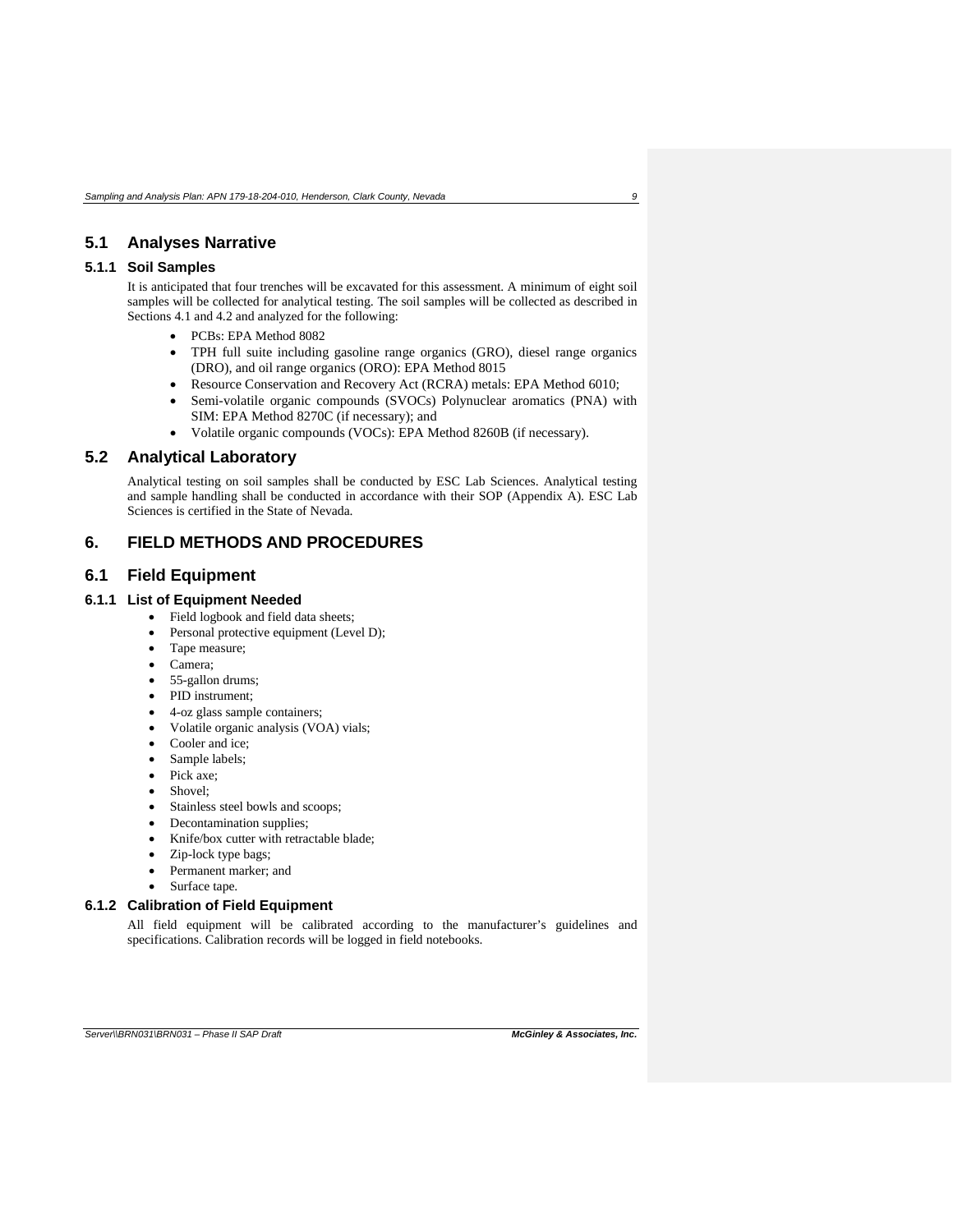### <span id="page-13-0"></span>**5.1 Analyses Narrative**

### <span id="page-13-1"></span>**5.1.1 Soil Samples**

It is anticipated that four trenches will be excavated for this assessment. A minimum of eight soil samples will be collected for analytical testing. The soil samples will be collected as described in Sections 4.1 and 4.2 and analyzed for the following:

- PCBs: EPA Method 8082
- TPH full suite including gasoline range organics (GRO), diesel range organics (DRO), and oil range organics (ORO): EPA Method 8015
- Resource Conservation and Recovery Act (RCRA) metals: EPA Method 6010;
- Semi-volatile organic compounds (SVOCs) Polynuclear aromatics (PNA) with SIM: EPA Method 8270C (if necessary); and
- Volatile organic compounds (VOCs): EPA Method 8260B (if necessary).

### <span id="page-13-2"></span>**5.2 Analytical Laboratory**

Analytical testing on soil samples shall be conducted by ESC Lab Sciences. Analytical testing and sample handling shall be conducted in accordance with their SOP (Appendix A). ESC Lab Sciences is certified in the State of Nevada.

### <span id="page-13-3"></span>**6. FIELD METHODS AND PROCEDURES**

### <span id="page-13-4"></span>**6.1 Field Equipment**

## <span id="page-13-5"></span>**6.1.1 List of Equipment Needed**

- Field logbook and field data sheets;
- Personal protective equipment (Level D);
- Tape measure;
- Camera;
- 55-gallon drums;
- PID instrument;
- 4-oz glass sample containers;
- Volatile organic analysis (VOA) vials;
- Cooler and ice;
- Sample labels;
- Pick axe;
- Shovel:
- Stainless steel bowls and scoops;
- Decontamination supplies;
- Knife/box cutter with retractable blade;
- Zip-lock type bags;
- Permanent marker; and
- Surface tape.

### <span id="page-13-6"></span>**6.1.2 Calibration of Field Equipment**

All field equipment will be calibrated according to the manufacturer's guidelines and specifications. Calibration records will be logged in field notebooks.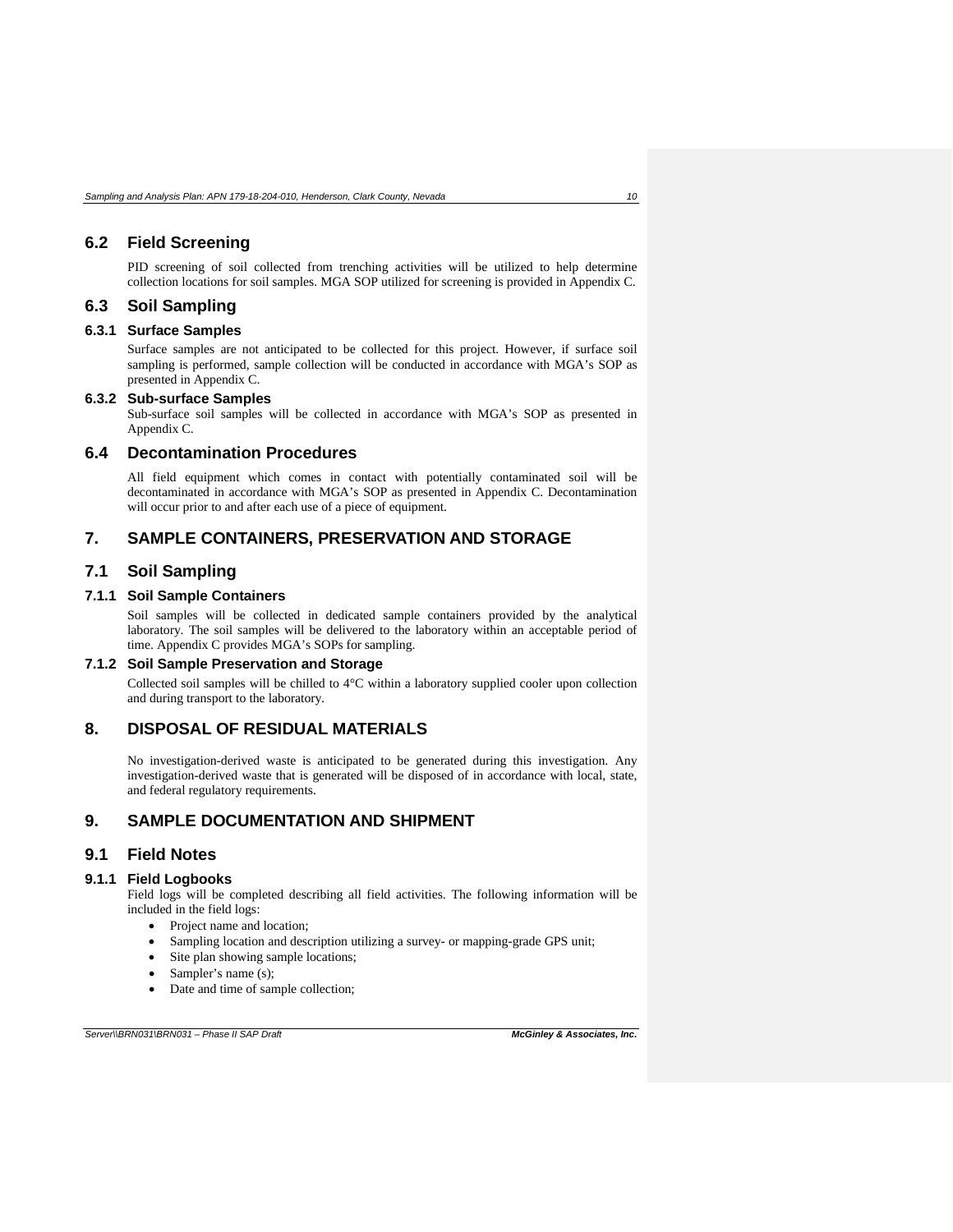### <span id="page-14-0"></span>**6.2 Field Screening**

PID screening of soil collected from trenching activities will be utilized to help determine collection locations for soil samples. MGA SOP utilized for screening is provided in Appendix C.

### <span id="page-14-1"></span>**6.3 Soil Sampling**

### <span id="page-14-2"></span>**6.3.1 Surface Samples**

Surface samples are not anticipated to be collected for this project. However, if surface soil sampling is performed, sample collection will be conducted in accordance with MGA's SOP as presented in Appendix C.

#### <span id="page-14-3"></span>**6.3.2 Sub-surface Samples**

Sub-surface soil samples will be collected in accordance with MGA's SOP as presented in Appendix C.

### <span id="page-14-4"></span>**6.4 Decontamination Procedures**

All field equipment which comes in contact with potentially contaminated soil will be decontaminated in accordance with MGA's SOP as presented in Appendix C. Decontamination will occur prior to and after each use of a piece of equipment.

# <span id="page-14-5"></span>**7. SAMPLE CONTAINERS, PRESERVATION AND STORAGE**

### <span id="page-14-6"></span>**7.1 Soil Sampling**

### <span id="page-14-7"></span>**7.1.1 Soil Sample Containers**

Soil samples will be collected in dedicated sample containers provided by the analytical laboratory. The soil samples will be delivered to the laboratory within an acceptable period of time. Appendix C provides MGA's SOPs for sampling.

#### <span id="page-14-8"></span>**7.1.2 Soil Sample Preservation and Storage**

Collected soil samples will be chilled to 4°C within a laboratory supplied cooler upon collection and during transport to the laboratory.

### <span id="page-14-9"></span>**8. DISPOSAL OF RESIDUAL MATERIALS**

No investigation-derived waste is anticipated to be generated during this investigation. Any investigation-derived waste that is generated will be disposed of in accordance with local, state, and federal regulatory requirements.

### <span id="page-14-10"></span>**9. SAMPLE DOCUMENTATION AND SHIPMENT**

# <span id="page-14-11"></span>**9.1 Field Notes**

### <span id="page-14-12"></span>**9.1.1 Field Logbooks**

Field logs will be completed describing all field activities. The following information will be included in the field logs:

- Project name and location;
- Sampling location and description utilizing a survey- or mapping-grade GPS unit;
- Site plan showing sample locations;
- Sampler's name (s);
- Date and time of sample collection;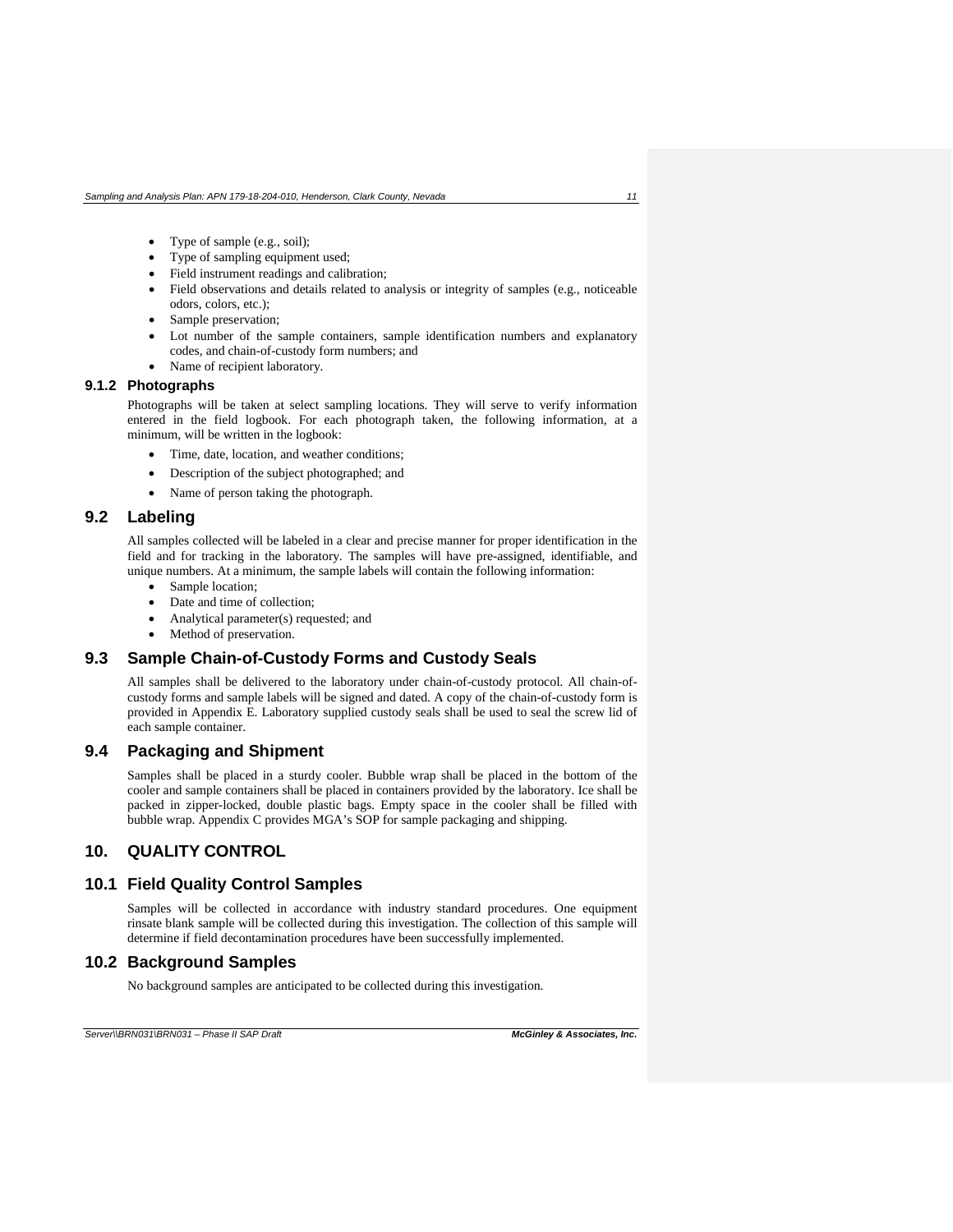- Type of sample (e.g., soil);
- Type of sampling equipment used;
- Field instrument readings and calibration;
- Field observations and details related to analysis or integrity of samples (e.g., noticeable odors, colors, etc.);
- Sample preservation;
- Lot number of the sample containers, sample identification numbers and explanatory codes, and chain-of-custody form numbers; and
- Name of recipient laboratory.

#### <span id="page-15-0"></span>**9.1.2 Photographs**

Photographs will be taken at select sampling locations. They will serve to verify information entered in the field logbook. For each photograph taken, the following information, at a minimum, will be written in the logbook:

- Time, date, location, and weather conditions;
- Description of the subject photographed; and
- Name of person taking the photograph.

### <span id="page-15-1"></span>**9.2 Labeling**

All samples collected will be labeled in a clear and precise manner for proper identification in the field and for tracking in the laboratory. The samples will have pre-assigned, identifiable, and unique numbers. At a minimum, the sample labels will contain the following information:

- Sample location;
- Date and time of collection;
- Analytical parameter(s) requested; and
- Method of preservation.

### <span id="page-15-2"></span>**9.3 Sample Chain-of-Custody Forms and Custody Seals**

All samples shall be delivered to the laboratory under chain-of-custody protocol. All chain-ofcustody forms and sample labels will be signed and dated. A copy of the chain-of-custody form is provided in Appendix E. Laboratory supplied custody seals shall be used to seal the screw lid of each sample container.

### <span id="page-15-3"></span>**9.4 Packaging and Shipment**

Samples shall be placed in a sturdy cooler. Bubble wrap shall be placed in the bottom of the cooler and sample containers shall be placed in containers provided by the laboratory. Ice shall be packed in zipper-locked, double plastic bags. Empty space in the cooler shall be filled with bubble wrap. Appendix C provides MGA's SOP for sample packaging and shipping.

# <span id="page-15-4"></span>**10. QUALITY CONTROL**

# <span id="page-15-5"></span>**10.1 Field Quality Control Samples**

Samples will be collected in accordance with industry standard procedures. One equipment rinsate blank sample will be collected during this investigation. The collection of this sample will determine if field decontamination procedures have been successfully implemented.

### <span id="page-15-6"></span>**10.2 Background Samples**

No background samples are anticipated to be collected during this investigation.